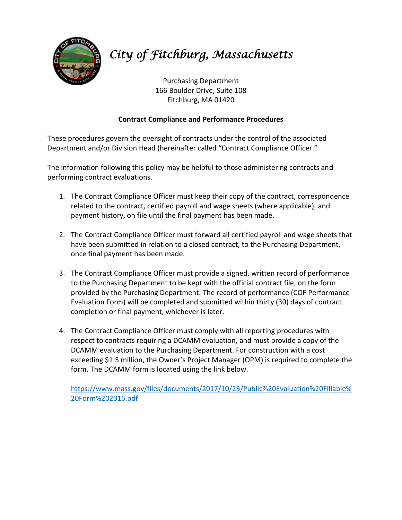

## *City of Fitchburg, Massachusetts*

Purchasing Department 166 Boulder Drive, Suite 108 Fitchburg, MA 01420

## **Contract Compliance and Performance Procedures**

These procedures govern the oversight of contracts under the control of the associated Department and/or Division Head (hereinafter called "Contract Compliance Officer."

The information following this policy may be helpful to those administering contracts and performing contract evaluations.

- 1. The Contract Compliance Officer must keep their copy of the contract, correspondence related to the contract, certified payroll and wage sheets (where applicable), and payment history, on file until the final payment has been made.
- 2. The Contract Compliance Officer must forward all certified payroll and wage sheets that have been submitted in relation to a closed contract, to the Purchasing Department, once final payment has been made.
- 3. The Contract Compliance Officer must provide a signed, written record of performance to the Purchasing Department to be kept with the official contract file, on the form provided by the Purchasing Department. The record of performance (COF Performance Evaluation Form) will be completed and submitted within thirty (30) days of contract completion or final payment, whichever is later.
- 4. The Contract Compliance Officer must comply with all reporting procedures with respect to contracts requiring a DCAMM evaluation, and must provide a copy of the DCAMM evaluation to the Purchasing Department. For construction with a cost exceeding \$1.5 million, the Owner's Project Manager (OPM) is required to complete the form. The DCAMM form is located using the link below.

[https://www.mass.gov/files/documents/2017/10/23/Public%20Evaluation%20Fillable%](https://www.mass.gov/files/documents/2017/10/23/Public%20Evaluation%20Fillable%20Form%202016.pdf) [20Form%202016.pdf](https://www.mass.gov/files/documents/2017/10/23/Public%20Evaluation%20Fillable%20Form%202016.pdf)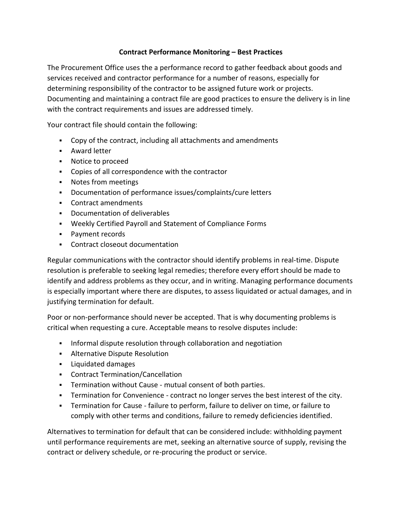## **Contract Performance Monitoring – Best Practices**

The Procurement Office uses the a performance record to gather feedback about goods and services received and contractor performance for a number of reasons, especially for determining responsibility of the contractor to be assigned future work or projects. Documenting and maintaining a contract file are good practices to ensure the delivery is in line with the contract requirements and issues are addressed timely.

Your contract file should contain the following:

- Copy of the contract, including all attachments and amendments
- **Award letter**
- Notice to proceed
- Copies of all correspondence with the contractor
- Notes from meetings
- Documentation of performance issues/complaints/cure letters
- Contract amendments
- **-** Documentation of deliverables
- Weekly Certified Payroll and Statement of Compliance Forms
- **Payment records**
- Contract closeout documentation

Regular communications with the contractor should identify problems in real-time. Dispute resolution is preferable to seeking legal remedies; therefore every effort should be made to identify and address problems as they occur, and in writing. Managing performance documents is especially important where there are disputes, to assess liquidated or actual damages, and in justifying termination for default.

Poor or non-performance should never be accepted. That is why documenting problems is critical when requesting a cure. Acceptable means to resolve disputes include:

- **Informal dispute resolution through collaboration and negotiation**
- Alternative Dispute Resolution
- **Liquidated damages**
- Contract Termination/Cancellation
- Termination without Cause mutual consent of both parties.
- Termination for Convenience contract no longer serves the best interest of the city.
- Termination for Cause failure to perform, failure to deliver on time, or failure to comply with other terms and conditions, failure to remedy deficiencies identified.

Alternatives to termination for default that can be considered include: withholding payment until performance requirements are met, seeking an alternative source of supply, revising the contract or delivery schedule, or re-procuring the product or service.